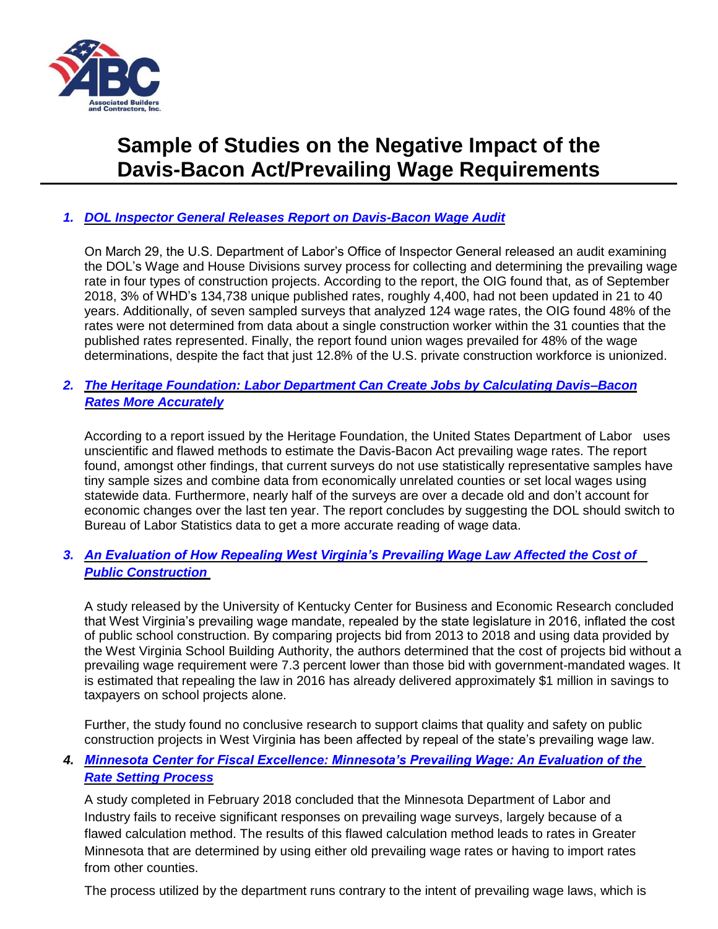

# **Sample of Studies on the Negative Impact of the Davis-Bacon Act/Prevailing Wage Requirements**

## *1. [DOL Inspector General Releases Report on Davis-Bacon Wage Audit](https://www.oig.dol.gov/public/reports/oa/2019/04-19-001-15-001.pdf)*

On March 29, the U.S. Department of Labor's Office of Inspector General released an audit examining the DOL's Wage and House Divisions survey process for collecting and determining the prevailing wage rate in four types of construction projects. According to the report, the OIG found that, as of September 2018, 3% of WHD's 134,738 unique published rates, roughly 4,400, had not been updated in 21 to 40 years. Additionally, of seven sampled surveys that analyzed 124 wage rates, the OIG found 48% of the rates were not determined from data about a single construction worker within the 31 counties that the published rates represented. Finally, the report found union wages prevailed for 48% of the wage determinations, despite the fact that just 12.8% of the U.S. private construction workforce is unionized.

#### *2. [The Heritage Foundation: Labor Department Can Create Jobs by Calculating Davis–Bacon](https://www.heritage.org/jobs-and-labor/report/labor-department-can-create-jobs-calculating-davis-bacon-rates-more) [Rates More Accurately](https://www.heritage.org/jobs-and-labor/report/labor-department-can-create-jobs-calculating-davis-bacon-rates-more)*

According to a report issued by the Heritage Foundation, the United States Department of Labor uses unscientific and flawed methods to estimate the Davis-Bacon Act prevailing wage rates. The report found, amongst other findings, that current surveys do not use statistically representative samples have tiny sample sizes and combine data from economically unrelated counties or set local wages using statewide data. Furthermore, nearly half of the surveys are over a decade old and don't account for economic changes over the last ten year. The report concludes by suggesting the DOL should switch to Bureau of Labor Statistics data to get a more accurate reading of wage data.

#### *3. [An Evaluation of How Repealing West Virginia's Prevailing Wage Law Affected the Cost of](http://files.constantcontact.com/02e112ef301/9c2c0ce6-b801-4e8a-8c13-2a78e2509d2c.pdf)  [Public Construction](http://files.constantcontact.com/02e112ef301/9c2c0ce6-b801-4e8a-8c13-2a78e2509d2c.pdf)*

A study released by the University of Kentucky Center for Business and Economic Research concluded that West Virginia's prevailing wage mandate, repealed by the state legislature in 2016, inflated the cost of public school construction. By comparing projects bid from 2013 to 2018 and using data provided by the West Virginia School Building Authority, the authors determined that the cost of projects bid without a prevailing wage requirement were 7.3 percent lower than those bid with government-mandated wages. It is estimated that repealing the law in 2016 has already delivered approximately \$1 million in savings to taxpayers on school projects alone.

Further, the study found no conclusive research to support claims that quality and safety on public construction projects in West Virginia has been affected by repeal of the state's prevailing wage law.

# *4. [Minnesota Center for Fiscal Excellence: Minnesota's Prevailing Wage: An Evaluation of the](https://www.fiscalexcellence.org/our-studies/final-2018-cef-prevailing-wage-report.pdf)  [Rate Setting Process](https://www.fiscalexcellence.org/our-studies/final-2018-cef-prevailing-wage-report.pdf)*

A study completed in February 2018 concluded that the Minnesota Department of Labor and Industry fails to receive significant responses on prevailing wage surveys, largely because of a flawed calculation method. The results of this flawed calculation method leads to rates in Greater Minnesota that are determined by using either old prevailing wage rates or having to import rates from other counties.

The process utilized by the department runs contrary to the intent of prevailing wage laws, which is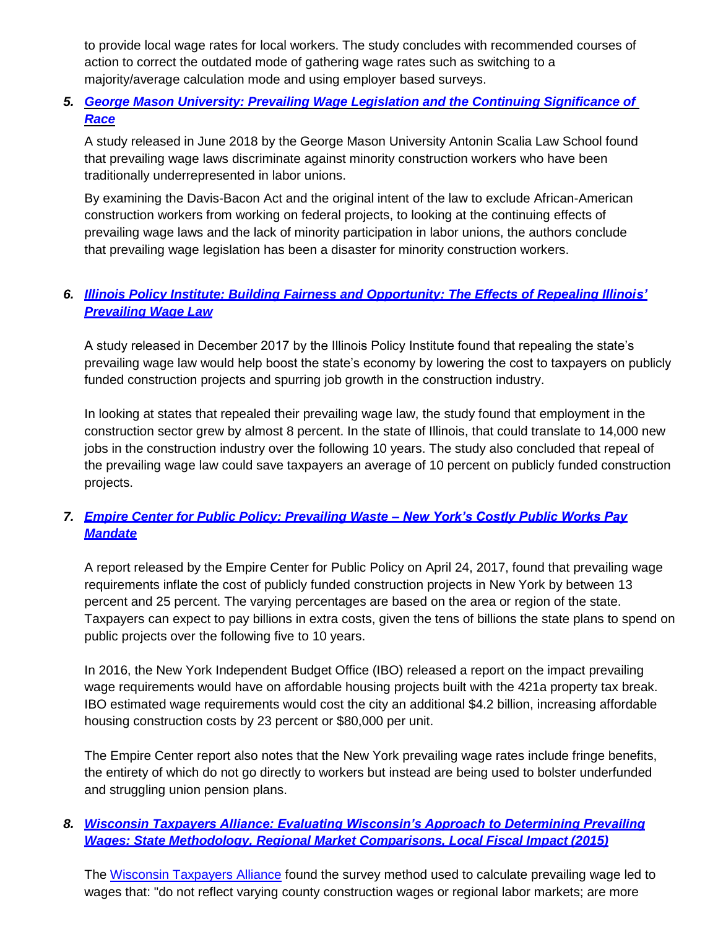to provide local wage rates for local workers. The study concludes with recommended courses of action to correct the outdated mode of gathering wage rates such as switching to a majority/average calculation mode and using employer based surveys.

# *5. [George Mason University: Prevailing Wage Legislation and the Continuing Significance of](https://poseidon01.ssrn.com/delivery.php?ID=843106086008087068080030072107067010017051024001008020124117121123013016071031117091049101001060018038058113066075023073090116109034011046042122020006099112127004041055094020010081104097005127080002094083001092105002065103124115005097112119114098099&EXT=pdf)  [Race](https://poseidon01.ssrn.com/delivery.php?ID=843106086008087068080030072107067010017051024001008020124117121123013016071031117091049101001060018038058113066075023073090116109034011046042122020006099112127004041055094020010081104097005127080002094083001092105002065103124115005097112119114098099&EXT=pdf)*

A study released in June 2018 by the George Mason University Antonin Scalia Law School found that prevailing wage laws discriminate against minority construction workers who have been traditionally underrepresented in labor unions.

By examining the Davis-Bacon Act and the original intent of the law to exclude African-American construction workers from working on federal projects, to looking at the continuing effects of prevailing wage laws and the lack of minority participation in labor unions, the authors conclude that prevailing wage legislation has been a disaster for minority construction workers.

# *6. [Illinois Policy Institute: Building Fairness and Opportunity: The Effects of Repealing Illinois'](https://files.illinoispolicy.org/wp-content/uploads/2017/12/Prevailing-Wage_11.17f.pdf) [Prevailing Wage](https://files.illinoispolicy.org/wp-content/uploads/2017/12/Prevailing-Wage_11.17f.pdf) Law*

A study released in December 2017 by the Illinois Policy Institute found that repealing the state's prevailing wage law would help boost the state's economy by lowering the cost to taxpayers on publicly funded construction projects and spurring job growth in the construction industry.

In looking at states that repealed their prevailing wage law, the study found that employment in the construction sector grew by almost 8 percent. In the state of Illinois, that could translate to 14,000 new jobs in the construction industry over the following 10 years. The study also concluded that repeal of the prevailing wage law could save taxpayers an average of 10 percent on publicly funded construction projects.

# *7. [Empire Center for Public Policy: Prevailing Waste –](https://www.empirecenter.org/publications/prevailing-waste/) New York's Costly Public Works Pa[y](https://www.empirecenter.org/publications/prevailing-waste/) [Mandate](https://www.empirecenter.org/publications/prevailing-waste/)*

A report released by the Empire Center for Public Policy on April 24, 2017, found that prevailing wage requirements inflate the cost of publicly funded construction projects in New York by between 13 percent and 25 percent. The varying percentages are based on the area or region of the state. Taxpayers can expect to pay billions in extra costs, given the tens of billions the state plans to spend on public projects over the following five to 10 years.

In 2016, the New York Independent Budget Office (IBO) released a report on the impact prevailing wage requirements would have on affordable housing projects built with the 421a property tax break. IBO estimated wage requirements would cost the city an additional \$4.2 billion, increasing affordable housing construction costs by 23 percent or \$80,000 per unit.

The Empire Center report also notes that the New York prevailing wage rates include fringe benefits, the entirety of which do not go directly to workers but instead are being used to bolster underfunded and struggling union pension plans.

# *8. [Wisconsin Taxpayers Alliance: Evaluating Wisconsin's Approach to Determining Prevailing](http://www.abcwi.org/Portals/7/Documents/Downloads/ABC%20Prev%20Wage%20Report.pdf) [Wages: State Methodology, Regional Market Comparisons, Local Fiscal Impact](http://www.abcwi.org/Portals/7/Documents/Downloads/ABC%20Prev%20Wage%20Report.pdf) (2015)*

The [Wisconsin Taxpayers Alliance](http://wistax.org/) found the survey method used to calculate prevailing wage led to wages that: "do not reflect varying county construction wages or regional labor markets; are more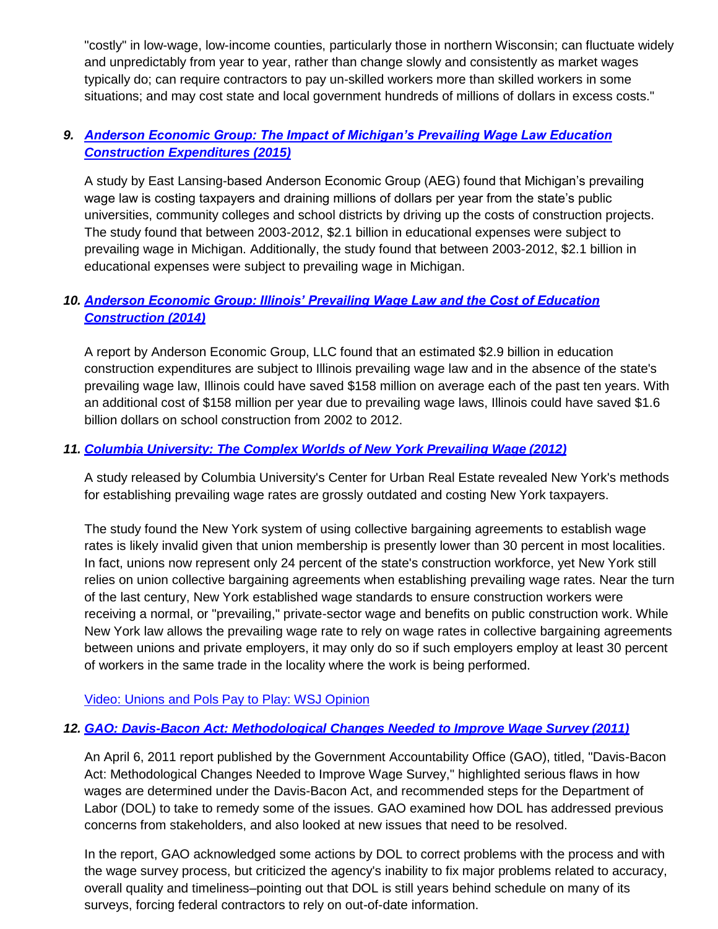"costly" in low-wage, low-income counties, particularly those in northern Wisconsin; can fluctuate widely and unpredictably from year to year, rather than change slowly and consistently as market wages typically do; can require contractors to pay un-skilled workers more than skilled workers in some situations; and may cost state and local government hundreds of millions of dollars in excess costs."

# *9. [Anderson Economic Group: The Impact of Michigan's Prevailing Wage Law Education](http://www.andersoneconomicgroup.com/Portals/0/upload/AEG%20Prevailing%20Wage%20Update%209-17-2015.pdf)  [Construction Expenditures \(2015\)](http://www.andersoneconomicgroup.com/Portals/0/upload/AEG%20Prevailing%20Wage%20Update%209-17-2015.pdf)*

A study by East Lansing-based Anderson Economic Group (AEG) found that Michigan's prevailing wage law is costing taxpayers and draining millions of dollars per year from the state's public universities, community colleges and school districts by driving up the costs of construction projects. The study found that between 2003-2012, \$2.1 billion in educational expenses were subject to prevailing wage in Michigan. Additionally, the study found that between 2003-2012, \$2.1 billion in educational expenses were subject to prevailing wage in Michigan.

# *10. [Anderson Economic Group: Illinois' Prevailing Wage Law and the Cost of Education](http://www.andersoneconomicgroup.com/Portals/0/AEG_ABCIL_PrevailingWage_FINAL.pdf) [Construction](http://www.andersoneconomicgroup.com/Portals/0/AEG_ABCIL_PrevailingWage_FINAL.pdf) (2014)*

A report by Anderson Economic Group, LLC found that an estimated \$2.9 billion in education construction expenditures are subject to Illinois prevailing wage law and in the absence of the state's prevailing wage law, Illinois could have saved \$158 million on average each of the past ten years. With an additional cost of \$158 million per year due to prevailing wage laws, Illinois could have saved \$1.6 billion dollars on school construction from 2002 to 2012.

# *11. [Columbia University: The Complex Worlds of New York Prevailing Wage](http://events.abc.org/files/Prevailing%20Wage%20June%205%202012%20Final.pdf) (2012)*

A study released by Columbia University's Center for Urban Real Estate revealed New York's methods for establishing prevailing wage rates are grossly outdated and costing New York taxpayers.

The study found the New York system of using collective bargaining agreements to establish wage rates is likely invalid given that union membership is presently lower than 30 percent in most localities. In fact, unions now represent only 24 percent of the state's construction workforce, yet New York still relies on union collective bargaining agreements when establishing prevailing wage rates. Near the turn of the last century, New York established wage standards to ensure construction workers were receiving a normal, or "prevailing," private-sector wage and benefits on public construction work. While New York law allows the prevailing wage rate to rely on wage rates in collective bargaining agreements between unions and private employers, it may only do so if such employers employ at least 30 percent of workers in the same trade in the locality where the work is being performed.

## [Video: Unions and Pols Pay to Play: WSJ Opinion](http://www.youtube.com/watch?v=Ew84kgvrO9w)

## *12. [GAO: Davis-Bacon Act: Methodological Changes Needed to Improve Wage Survey](http://www.gao.gov/new.items/d11152.pdf) (2011)*

An April 6, 2011 report published by the Government Accountability Office (GAO), titled, "Davis-Bacon Act: Methodological Changes Needed to Improve Wage Survey," highlighted serious flaws in how wages are determined under the Davis-Bacon Act, and recommended steps for the Department of Labor (DOL) to take to remedy some of the issues. GAO examined how DOL has addressed previous concerns from stakeholders, and also looked at new issues that need to be resolved.

In the report, GAO acknowledged some actions by DOL to correct problems with the process and with the wage survey process, but criticized the agency's inability to fix major problems related to accuracy, overall quality and timeliness–pointing out that DOL is still years behind schedule on many of its surveys, forcing federal contractors to rely on out-of-date information.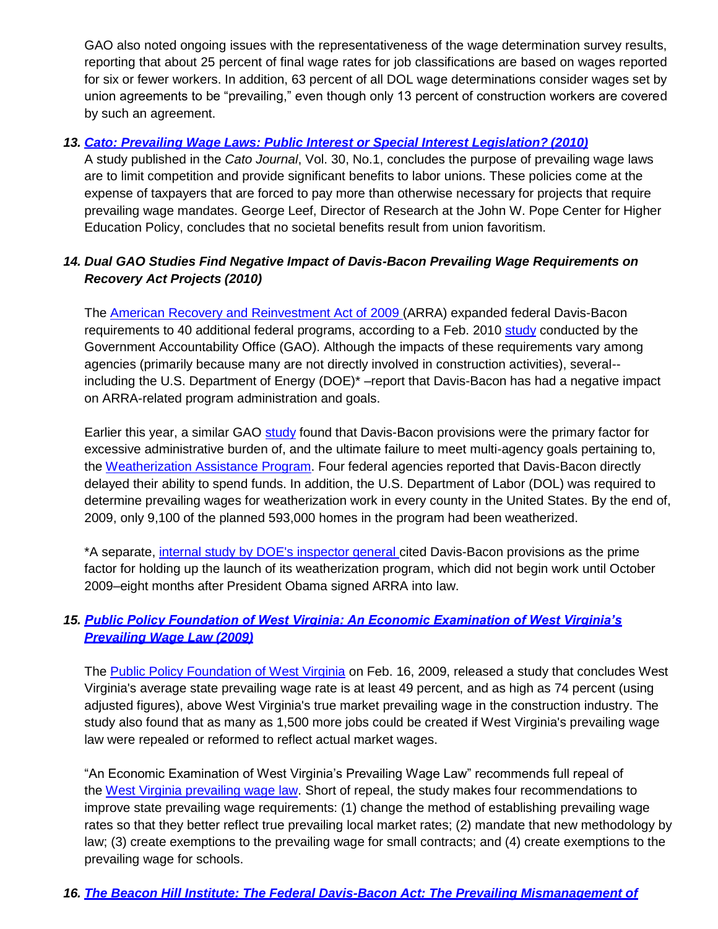GAO also noted ongoing issues with the representativeness of the wage determination survey results, reporting that about 25 percent of final wage rates for job classifications are based on wages reported for six or fewer workers. In addition, 63 percent of all DOL wage determinations consider wages set by union agreements to be "prevailing," even though only 13 percent of construction workers are covered by such an agreement.

#### *13. [Cato: Prevailing Wage Laws: Public Interest or Special Interest Legislation?](http://www.cato.org/pubs/journal/cj30n1/cj30n1-7.pdf) (2010)*

A study published in the *Cato Journal*, Vol. 30, No.1, concludes the purpose of prevailing wage laws are to limit competition and provide significant benefits to labor unions. These policies come at the expense of taxpayers that are forced to pay more than otherwise necessary for projects that require prevailing wage mandates. George Leef, Director of Research at the John W. Pope Center for Higher Education Policy, concludes that no societal benefits result from union favoritism.

## *14. Dual GAO Studies Find Negative Impact of Davis-Bacon Prevailing Wage Requirements on Recovery Act Projects (2010)*

The [American Recovery and Reinvestment Act of 2009 \(](http://www.recovery.gov/Pages/home.aspx)ARRA) expanded federal Davis-Bacon requirements to 40 additional federal programs, according to a Feb. 2010 [study](http://events.abc.org/files/Government_Affairs/PrevailingWageLawStudies/GAO%20Report_ARRA%20Project%20Selection%20and%20Starts_Factors_021910.pdf) conducted by the Government Accountability Office (GAO). Although the impacts of these requirements vary among agencies (primarily because many are not directly involved in construction activities), several- including the U.S. Department of Energy (DOE)\* –report that Davis-Bacon has had a negative impact on ARRA-related program administration and goals.

Earlier this year, a similar GAO [study](http://events.abc.org/files/Government_Affairs/PrevailingWageLawStudies/GAO%20Report_Officials%20Views%20Vary%20on%20Impacts%20of%20DB%20Act%20PW%20Provision_032410.pdf) found that Davis-Bacon provisions were the primary factor for excessive administrative burden of, and the ultimate failure to meet multi-agency goals pertaining to, the [Weatherization Assistance Program.](http://apps1.eere.energy.gov/weatherization/) Four federal agencies reported that Davis-Bacon directly delayed their ability to spend funds. In addition, the U.S. Department of Labor (DOL) was required to determine prevailing wages for weatherization work in every county in the United States. By the end of, 2009, only 9,100 of the planned 593,000 homes in the program had been weatherized.

\*A separate, [internal study by DOE's inspector general c](http://events.abc.org/files/Government_Affairs/PrevailingWageLawStudies/DOE%20IG_D-B%20Report_022310.pdf)ited Davis-Bacon provisions as the prime factor for holding up the launch of its weatherization program, which did not begin work until October 2009–eight months after President Obama signed ARRA into law.

## *15. [Public Policy Foundation of West Virginia: An Economic Examination of West Virginia's](http://events.abc.org/files/West%20Virginia%20Prevailing%20Wage%20Report.doc) [Prevailing Wage Law](http://events.abc.org/files/West%20Virginia%20Prevailing%20Wage%20Report.doc) (2009)*

The [Public Policy Foundation of West Virginia](http://www.spn.org/directory/public-policy-foundation-of-west-virginia) on Feb. 16, 2009, released a study that concludes West Virginia's average state prevailing wage rate is at least 49 percent, and as high as 74 percent (using adjusted figures), above West Virginia's true market prevailing wage in the construction industry. The study also found that as many as 1,500 more jobs could be created if West Virginia's prevailing wage law were repealed or reformed to reflect actual market wages.

"An Economic Examination of West Virginia's Prevailing Wage Law" recommends full repeal of the [West Virginia prevailing wage law.](http://events.abc.org/files/081208%20WestVirginiaPrevailingWageSummary2.pdf) Short of repeal, the study makes four recommendations to improve state prevailing wage requirements: (1) change the method of establishing prevailing wage rates so that they better reflect true prevailing local market rates; (2) mandate that new methodology by law; (3) create exemptions to the prevailing wage for small contracts; and (4) create exemptions to the prevailing wage for schools.

#### *16. The Beacon Hill Institute: The Federal Davis-Bacon Act: The Prevailing Mismanagement of*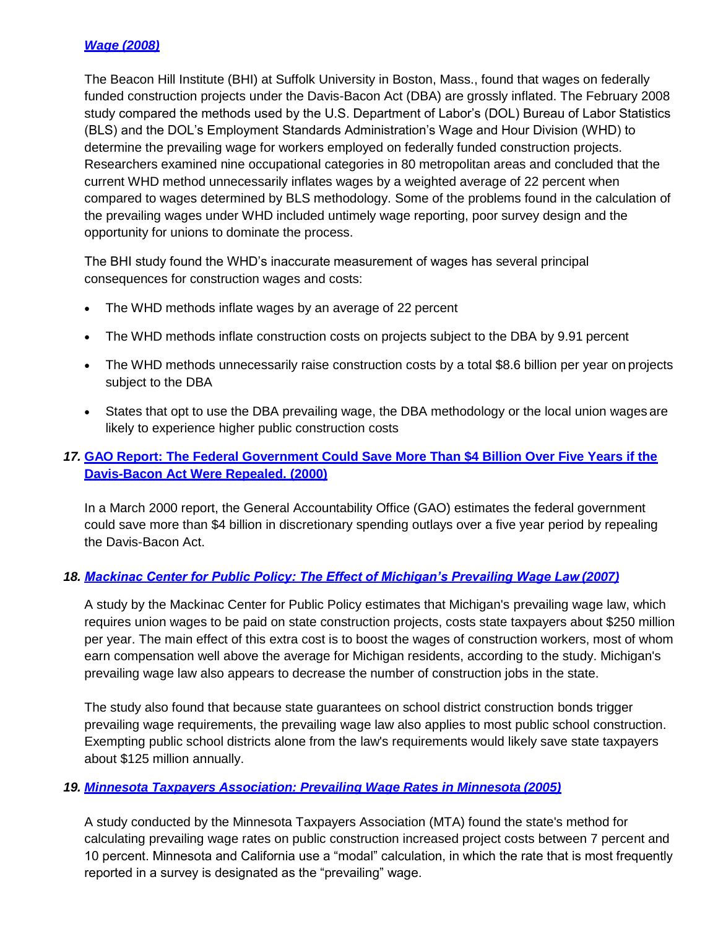## *Wage (2008)*

The Beacon Hill Institute (BHI) at Suffolk University in Boston, Mass., found that wages on federally funded construction projects under the Davis-Bacon Act (DBA) are grossly inflated. The February 2008 study compared the methods used by the U.S. Department of Labor's (DOL) Bureau of Labor Statistics (BLS) and the DOL's Employment Standards Administration's Wage and Hour Division (WHD) to determine the prevailing wage for workers employed on federally funded construction projects. Researchers examined nine occupational categories in 80 metropolitan areas and concluded that the current WHD method unnecessarily inflates wages by a weighted average of 22 percent when compared to wages determined by BLS methodology. Some of the problems found in the calculation of the prevailing wages under WHD included untimely wage reporting, poor survey design and the opportunity for unions to dominate the process.

The BHI study found the WHD's inaccurate measurement of wages has several principal consequences for construction wages and costs:

- The WHD methods inflate wages by an average of 22 percent
- The WHD methods inflate construction costs on projects subject to the DBA by 9.91 percent
- The WHD methods unnecessarily raise construction costs by a total \$8.6 billion per year on projects subject to the DBA
- States that opt to use the DBA prevailing wage, the DBA methodology or the local union wages are likely to experience higher public construction costs

## *17.* **GAO Report: The Federal Government Could Save More Than \$4 Billion Over Five Years if the Davis-Bacon Act Were Repealed. (2000)**

In a March 2000 report, the General Accountability Office (GAO) estimates the federal government could save more than \$4 billion in discretionary spending outlays over a five year period by repealing the Davis-Bacon Act.

## *18. Mackinac Center for Public Policy: The Effect of Michigan's Prevailing Wage Law (2007)*

A study by the Mackinac Center for Public Policy estimates that Michigan's prevailing wage law, which requires union wages to be paid on state construction projects, costs state taxpayers about \$250 million per year. The main effect of this extra cost is to boost the wages of construction workers, most of whom earn compensation well above the average for Michigan residents, according to the study. Michigan's prevailing wage law also appears to decrease the number of construction jobs in the state.

The study also found that because state guarantees on school district construction bonds trigger prevailing wage requirements, the prevailing wage law also applies to most public school construction. Exempting public school districts alone from the law's requirements would likely save state taxpayers about \$125 million annually.

#### *19. Minnesota Taxpayers Association: Prevailing Wage Rates in Minnesota (2005)*

A study conducted by the Minnesota Taxpayers Association (MTA) found the state's method for calculating prevailing wage rates on public construction increased project costs between 7 percent and 10 percent. Minnesota and California use a "modal" calculation, in which the rate that is most frequently reported in a survey is designated as the "prevailing" wage.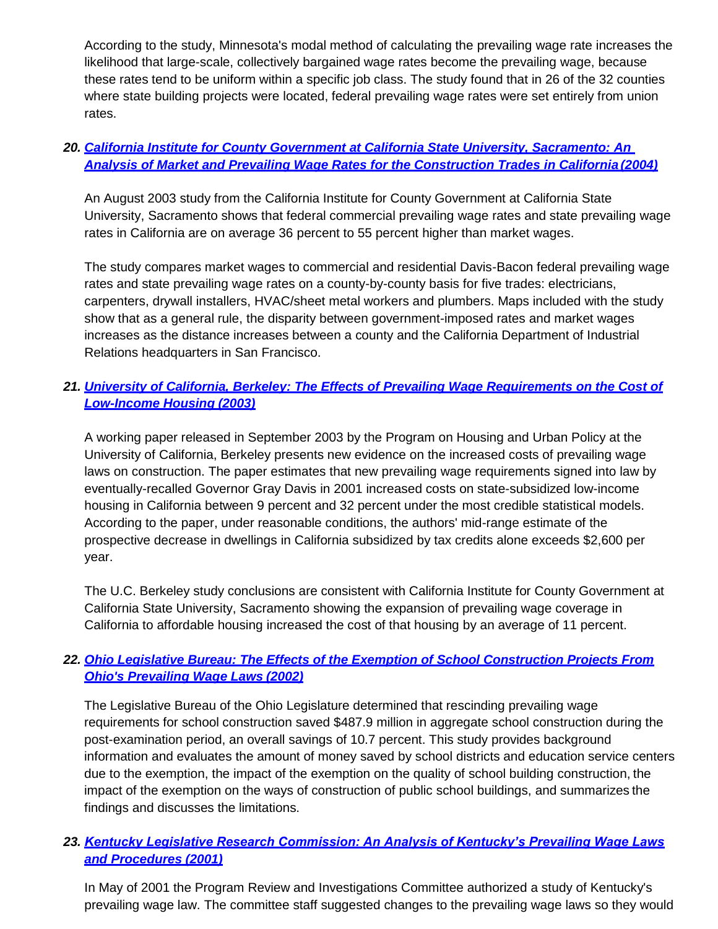According to the study, Minnesota's modal method of calculating the prevailing wage rate increases the likelihood that large-scale, collectively bargained wage rates become the prevailing wage, because these rates tend to be uniform within a specific job class. The study found that in 26 of the 32 counties where state building projects were located, federal prevailing wage rates were set entirely from union rates.

## *20. California Institute for County Government at California State University, Sacramento: An Analysis of Market and Prevailing Wage Rates for the Construction Trades in California (2004)*

An August 2003 study from the California Institute for County Government at California State University, Sacramento shows that federal commercial prevailing wage rates and state prevailing wage rates in California are on average 36 percent to 55 percent higher than market wages.

The study compares market wages to commercial and residential Davis-Bacon federal prevailing wage rates and state prevailing wage rates on a county-by-county basis for five trades: electricians, carpenters, drywall installers, HVAC/sheet metal workers and plumbers. Maps included with the study show that as a general rule, the disparity between government-imposed rates and market wages increases as the distance increases between a county and the California Department of Industrial Relations headquarters in San Francisco.

# *21. University of California, Berkeley: The Effects of Prevailing Wage Requirements on the Cost of Low-Income Housing (2003)*

A working paper released in September 2003 by the Program on Housing and Urban Policy at the University of California, Berkeley presents new evidence on the increased costs of prevailing wage laws on construction. The paper estimates that new prevailing wage requirements signed into law by eventually-recalled Governor Gray Davis in 2001 increased costs on state-subsidized low-income housing in California between 9 percent and 32 percent under the most credible statistical models. According to the paper, under reasonable conditions, the authors' mid-range estimate of the prospective decrease in dwellings in California subsidized by tax credits alone exceeds \$2,600 per year.

The U.C. Berkeley study conclusions are consistent with California Institute for County Government at California State University, Sacramento showing the expansion of prevailing wage coverage in California to affordable housing increased the cost of that housing by an average of 11 percent.

# *22. Ohio Legislative Bureau: The Effects of the Exemption of School Construction Projects From Ohio's Prevailing Wage Laws (2002)*

The Legislative Bureau of the Ohio Legislature determined that rescinding prevailing wage requirements for school construction saved \$487.9 million in aggregate school construction during the post-examination period, an overall savings of 10.7 percent. This study provides background information and evaluates the amount of money saved by school districts and education service centers due to the exemption, the impact of the exemption on the quality of school building construction, the impact of the exemption on the ways of construction of public school buildings, and summarizes the findings and discusses the limitations.

# *23. Kentucky Legislative Research Commission: An Analysis of Kentucky's Prevailing Wage Laws and Procedures (2001)*

In May of 2001 the Program Review and Investigations Committee authorized a study of Kentucky's prevailing wage law. The committee staff suggested changes to the prevailing wage laws so they would